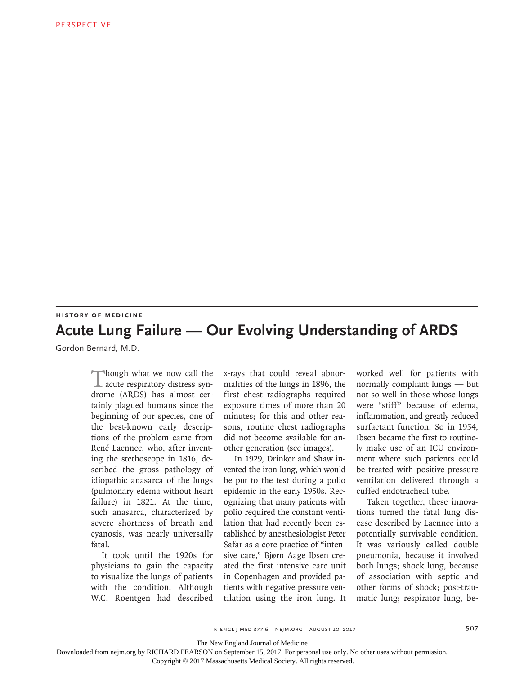## **HISTORY OF MEDICINE Acute Lung Failure — Our Evolving Understanding of ARDS**

Gordon Bernard, M.D.

Though what we now call the acute respiratory distress syndrome (ARDS) has almost certainly plagued humans since the beginning of our species, one of the best-known early descriptions of the problem came from René Laennec, who, after inventing the stethoscope in 1816, described the gross pathology of idiopathic anasarca of the lungs (pulmonary edema without heart failure) in 1821. At the time, such anasarca, characterized by severe shortness of breath and cyanosis, was nearly universally fatal.

It took until the 1920s for physicians to gain the capacity to visualize the lungs of patients with the condition. Although W.C. Roentgen had described

x-rays that could reveal abnormalities of the lungs in 1896, the first chest radiographs required exposure times of more than 20 minutes; for this and other reasons, routine chest radiographs did not become available for another generation (see images).

In 1929, Drinker and Shaw invented the iron lung, which would be put to the test during a polio epidemic in the early 1950s. Recognizing that many patients with polio required the constant ventilation that had recently been established by anesthesiologist Peter Safar as a core practice of "intensive care," Bjørn Aage Ibsen created the first intensive care unit in Copenhagen and provided patients with negative pressure ventilation using the iron lung. It worked well for patients with normally compliant lungs — but not so well in those whose lungs were "stiff" because of edema, inflammation, and greatly reduced surfactant function. So in 1954, Ibsen became the first to routinely make use of an ICU environment where such patients could be treated with positive pressure ventilation delivered through a cuffed endotracheal tube.

Taken together, these innovations turned the fatal lung disease described by Laennec into a potentially survivable condition. It was variously called double pneumonia, because it involved both lungs; shock lung, because of association with septic and other forms of shock; post-traumatic lung; respirator lung, be-

The New England Journal of Medicine

Downloaded from nejm.org by RICHARD PEARSON on September 15, 2017. For personal use only. No other uses without permission.

Copyright © 2017 Massachusetts Medical Society. All rights reserved.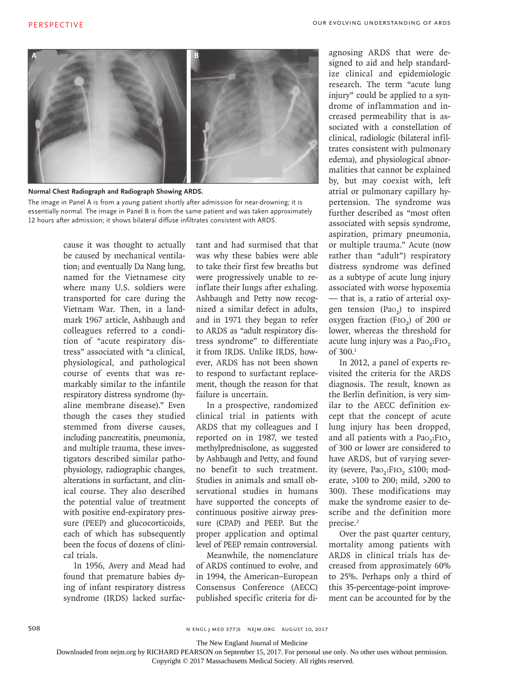

**Normal Chest Radiograph and Radiograph Showing ARDS.**

The image in Panel A is from a young patient shortly after admission for near-drowning; it is essentially normal. The image in Panel B is from the same patient and was taken approximately 12 hours after admission; it shows bilateral diffuse infiltrates consistent with ARDS.

> cause it was thought to actually be caused by mechanical ventilation; and eventually Da Nang lung, named for the Vietnamese city where many U.S. soldiers were transported for care during the Vietnam War. Then, in a landmark 1967 article, Ashbaugh and colleagues referred to a condition of "acute respiratory distress" associated with "a clinical, physiological, and pathological course of events that was remarkably similar to the infantile respiratory distress syndrome (hyaline membrane disease)." Even though the cases they studied stemmed from diverse causes, including pancreatitis, pneumonia, and multiple trauma, these investigators described similar pathophysiology, radiographic changes, alterations in surfactant, and clinical course. They also described the potential value of treatment with positive end-expiratory pressure (PEEP) and glucocorticoids, each of which has subsequently been the focus of dozens of clinical trials.

In 1956, Avery and Mead had found that premature babies dying of infant respiratory distress syndrome (IRDS) lacked surfactant and had surmised that that was why these babies were able to take their first few breaths but were progressively unable to reinflate their lungs after exhaling. Ashbaugh and Petty now recognized a similar defect in adults, and in 1971 they began to refer to ARDS as "adult respiratory distress syndrome" to differentiate it from IRDS. Unlike IRDS, however, ARDS has not been shown to respond to surfactant replacement, though the reason for that failure is uncertain.

In a prospective, randomized clinical trial in patients with ARDS that my colleagues and I reported on in 1987, we tested methylprednisolone, as suggested by Ashbaugh and Petty, and found no benefit to such treatment. Studies in animals and small observational studies in humans have supported the concepts of continuous positive airway pressure (CPAP) and PEEP. But the proper application and optimal level of PEEP remain controversial.

Meanwhile, the nomenclature of ARDS continued to evolve, and in 1994, the American–European Consensus Conference (AECC) published specific criteria for diagnosing ARDS that were designed to aid and help standardize clinical and epidemiologic research. The term "acute lung injury" could be applied to a syndrome of inflammation and increased permeability that is associated with a constellation of clinical, radiologic (bilateral infiltrates consistent with pulmonary edema), and physiological abnormalities that cannot be explained by, but may coexist with, left atrial or pulmonary capillary hypertension. The syndrome was further described as "most often associated with sepsis syndrome, aspiration, primary pneumonia, or multiple trauma." Acute (now rather than "adult") respiratory distress syndrome was defined as a subtype of acute lung injury associated with worse hypoxemia — that is, a ratio of arterial oxygen tension (Pao<sub>2</sub>) to inspired oxygen fraction (FIO<sub>2</sub>) of 200 or lower, whereas the threshold for acute lung injury was a Pao<sub>2</sub>:FIO<sub>2</sub> of 300.1

In 2012, a panel of experts revisited the criteria for the ARDS diagnosis. The result, known as the Berlin definition, is very similar to the AECC definition except that the concept of acute lung injury has been dropped, and all patients with a  $PaO<sub>2</sub>:FiO<sub>2</sub>$ . of 300 or lower are considered to have ARDS, but of varying severity (severe, Pao,:FIO, ≤100; moderate, >100 to 200; mild, >200 to 300). These modifications may make the syndrome easier to describe and the definition more precise.<sup>2</sup>

Over the past quarter century, mortality among patients with ARDS in clinical trials has decreased from approximately 60% to 25%. Perhaps only a third of this 35-percentage-point improvement can be accounted for by the

n engl j med 377;6 nejm.org August 10, 2017

The New England Journal of Medicine

Downloaded from nejm.org by RICHARD PEARSON on September 15, 2017. For personal use only. No other uses without permission.

Copyright © 2017 Massachusetts Medical Society. All rights reserved.